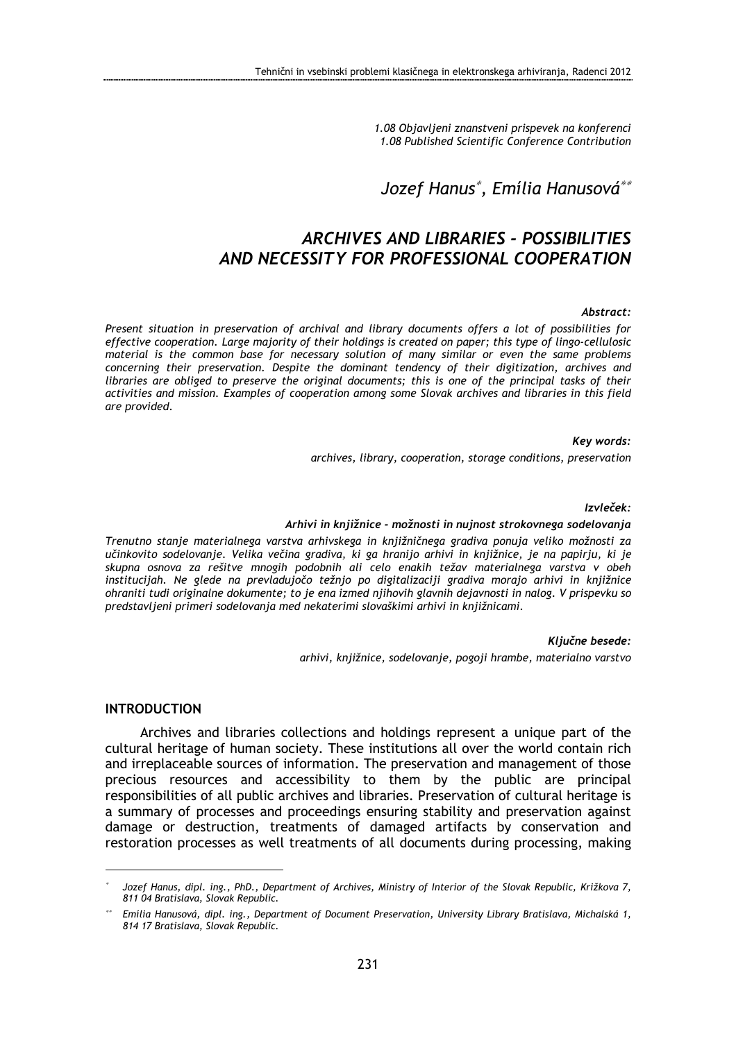1.08 Objavljeni znanstveni prispevek na konferenci 1.08 Published Scientific Conference Contribution

# Jozef Hanus<sup>∗</sup> , Emília Hanusová∗∗

# ARCHIVES AND LIBRARIES - POSSIBILITIES AND NECESSITY FOR PROFESSIONAL COOPERATION

#### Abstract:

Present situation in preservation of archival and library documents offers a lot of possibilities for effective cooperation. Large majority of their holdings is created on paper; this type of lingo-cellulosic material is the common base for necessary solution of many similar or even the same problems concerning their preservation. Despite the dominant tendency of their digitization, archives and libraries are obliged to preserve the original documents; this is one of the principal tasks of their activities and mission. Examples of cooperation among some Slovak archives and libraries in this field are provided.

#### Key words:

archives, library, cooperation, storage conditions, preservation

#### Izvleček:

#### Arhivi in knjižnice - možnosti in nujnost strokovnega sodelovanja

Trenutno stanje materialnega varstva arhivskega in knjižničnega gradiva ponuja veliko možnosti za učinkovito sodelovanje. Velika večina gradiva, ki ga hranijo arhivi in knjižnice, je na papirju, ki je skupna osnova za rešitve mnogih podobnih ali celo enakih težav materialnega varstva v obeh institucijah. Ne glede na prevladujočo težnjo po digitalizaciji gradiva morajo arhivi in knjižnice ohraniti tudi originalne dokumente; to je ena izmed njihovih glavnih dejavnosti in nalog. V prispevku so predstavljeni primeri sodelovanja med nekaterimi slovaškimi arhivi in knjižnicami.

#### Ključne besede:

arhivi, knjižnice, sodelovanje, pogoji hrambe, materialno varstvo

### INTRODUCTION

 $\overline{a}$ 

Archives and libraries collections and holdings represent a unique part of the cultural heritage of human society. These institutions all over the world contain rich and irreplaceable sources of information. The preservation and management of those precious resources and accessibility to them by the public are principal responsibilities of all public archives and libraries. Preservation of cultural heritage is a summary of processes and proceedings ensuring stability and preservation against damage or destruction, treatments of damaged artifacts by conservation and restoration processes as well treatments of all documents during processing, making

<sup>∗</sup> Jozef Hanus, dipl. ing., PhD., Department of Archives, Ministry of Interior of the Slovak Republic, Križkova 7, 811 04 Bratislava, Slovak Republic.

<sup>∗∗</sup> Emília Hanusová, dipl. ing., Department of Document Preservation, University Library Bratislava, Michalská 1, 814 17 Bratislava, Slovak Republic.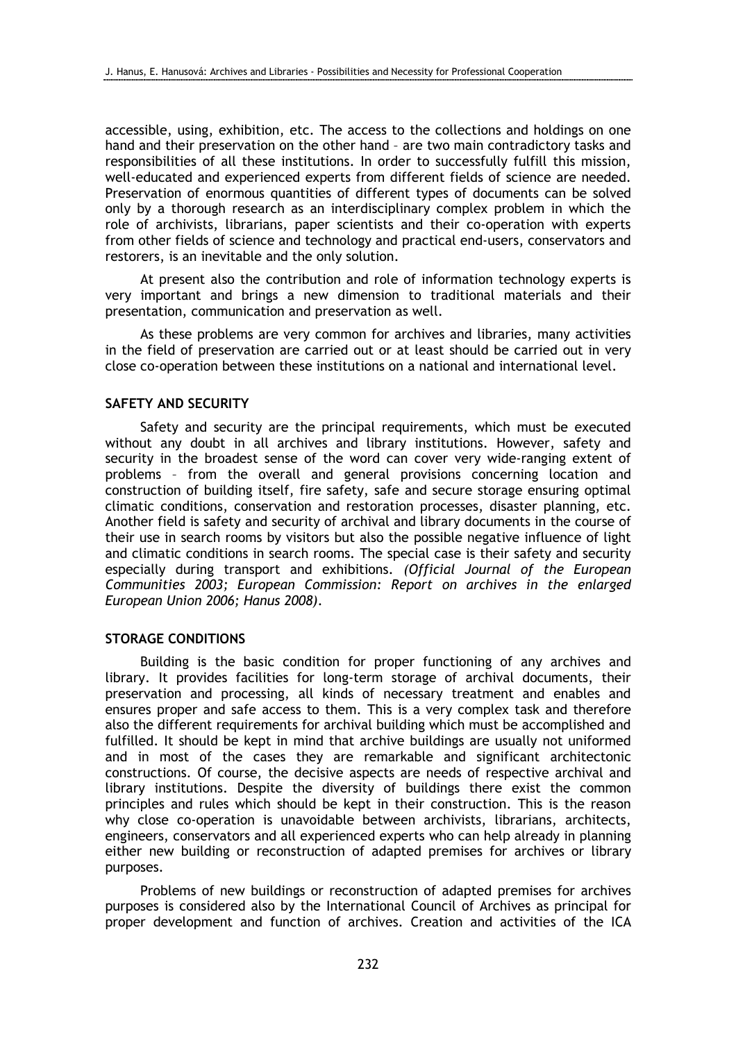accessible, using, exhibition, etc. The access to the collections and holdings on one hand and their preservation on the other hand – are two main contradictory tasks and responsibilities of all these institutions. In order to successfully fulfill this mission, well-educated and experienced experts from different fields of science are needed. Preservation of enormous quantities of different types of documents can be solved only by a thorough research as an interdisciplinary complex problem in which the role of archivists, librarians, paper scientists and their co-operation with experts from other fields of science and technology and practical end-users, conservators and restorers, is an inevitable and the only solution.

At present also the contribution and role of information technology experts is very important and brings a new dimension to traditional materials and their presentation, communication and preservation as well.

As these problems are very common for archives and libraries, many activities in the field of preservation are carried out or at least should be carried out in very close co-operation between these institutions on a national and international level.

# SAFETY AND SECURITY

Safety and security are the principal requirements, which must be executed without any doubt in all archives and library institutions. However, safety and security in the broadest sense of the word can cover very wide-ranging extent of problems – from the overall and general provisions concerning location and construction of building itself, fire safety, safe and secure storage ensuring optimal climatic conditions, conservation and restoration processes, disaster planning, etc. Another field is safety and security of archival and library documents in the course of their use in search rooms by visitors but also the possible negative influence of light and climatic conditions in search rooms. The special case is their safety and security especially during transport and exhibitions. (Official Journal of the European Communities 2003; European Commission: Report on archives in the enlarged European Union 2006; Hanus 2008).

## STORAGE CONDITIONS

Building is the basic condition for proper functioning of any archives and library. It provides facilities for long-term storage of archival documents, their preservation and processing, all kinds of necessary treatment and enables and ensures proper and safe access to them. This is a very complex task and therefore also the different requirements for archival building which must be accomplished and fulfilled. It should be kept in mind that archive buildings are usually not uniformed and in most of the cases they are remarkable and significant architectonic constructions. Of course, the decisive aspects are needs of respective archival and library institutions. Despite the diversity of buildings there exist the common principles and rules which should be kept in their construction. This is the reason why close co-operation is unavoidable between archivists, librarians, architects, engineers, conservators and all experienced experts who can help already in planning either new building or reconstruction of adapted premises for archives or library purposes.

Problems of new buildings or reconstruction of adapted premises for archives purposes is considered also by the International Council of Archives as principal for proper development and function of archives. Creation and activities of the ICA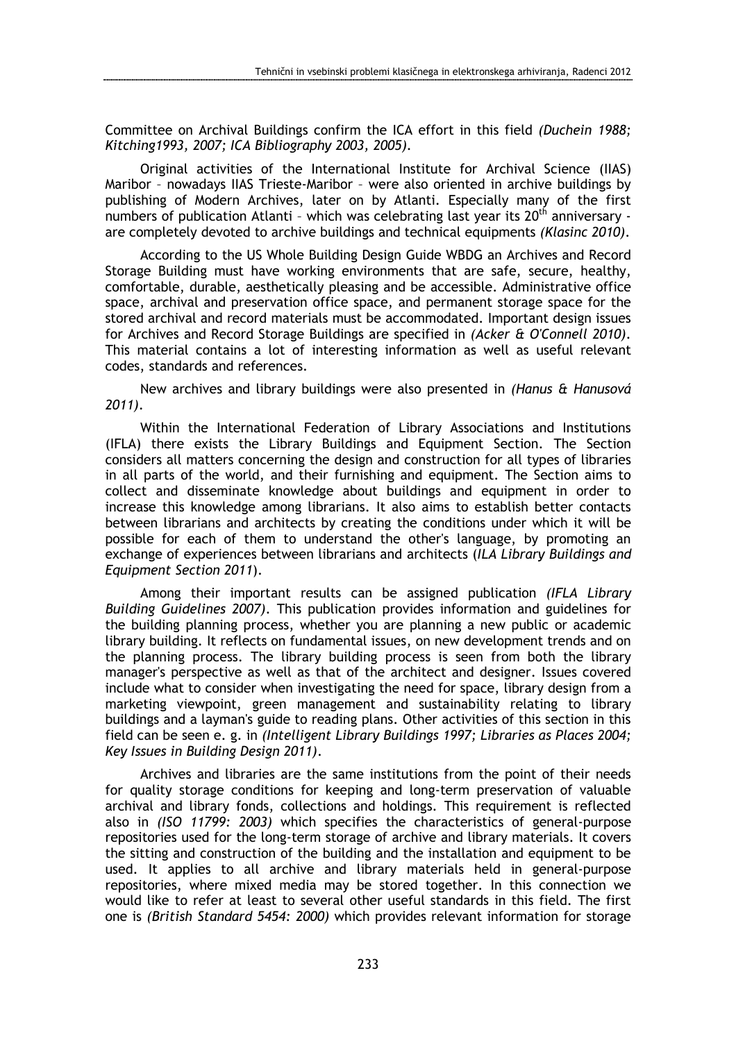Committee on Archival Buildings confirm the ICA effort in this field (Duchein 1988; Kitching1993, 2007; ICA Bibliography 2003, 2005).

Original activities of the International Institute for Archival Science (IIAS) Maribor – nowadays IIAS Trieste-Maribor – were also oriented in archive buildings by publishing of Modern Archives, later on by Atlanti. Especially many of the first numbers of publication Atlanti - which was celebrating last year its  $20<sup>th</sup>$  anniversary are completely devoted to archive buildings and technical equipments (Klasinc 2010).

According to the US Whole Building Design Guide WBDG an Archives and Record Storage Building must have working environments that are safe, secure, healthy, comfortable, durable, aesthetically pleasing and be accessible. Administrative office space, archival and preservation office space, and permanent storage space for the stored archival and record materials must be accommodated. Important design issues for Archives and Record Storage Buildings are specified in (Acker & O'Connell 2010). This material contains a lot of interesting information as well as useful relevant codes, standards and references.

New archives and library buildings were also presented in (Hanus & Hanusová 2011).

Within the International Federation of Library Associations and Institutions (IFLA) there exists the Library Buildings and Equipment Section. The Section considers all matters concerning the design and construction for all types of libraries in all parts of the world, and their furnishing and equipment. The Section aims to collect and disseminate knowledge about buildings and equipment in order to increase this knowledge among librarians. It also aims to establish better contacts between librarians and architects by creating the conditions under which it will be possible for each of them to understand the other's language, by promoting an exchange of experiences between librarians and architects (ILA Library Buildings and Equipment Section 2011).

Among their important results can be assigned publication (IFLA Library Building Guidelines 2007). This publication provides information and guidelines for the building planning process, whether you are planning a new public or academic library building. It reflects on fundamental issues, on new development trends and on the planning process. The library building process is seen from both the library manager's perspective as well as that of the architect and designer. Issues covered include what to consider when investigating the need for space, library design from a marketing viewpoint, green management and sustainability relating to library buildings and a layman's guide to reading plans. Other activities of this section in this field can be seen e. g. in (Intelligent Library Buildings 1997; Libraries as Places 2004; Key Issues in Building Design 2011).

Archives and libraries are the same institutions from the point of their needs for quality storage conditions for keeping and long-term preservation of valuable archival and library fonds, collections and holdings. This requirement is reflected also in (ISO 11799: 2003) which specifies the characteristics of general-purpose repositories used for the long-term storage of archive and library materials. It covers the sitting and construction of the building and the installation and equipment to be used. It applies to all archive and library materials held in general-purpose repositories, where mixed media may be stored together. In this connection we would like to refer at least to several other useful standards in this field. The first one is (British Standard 5454: 2000) which provides relevant information for storage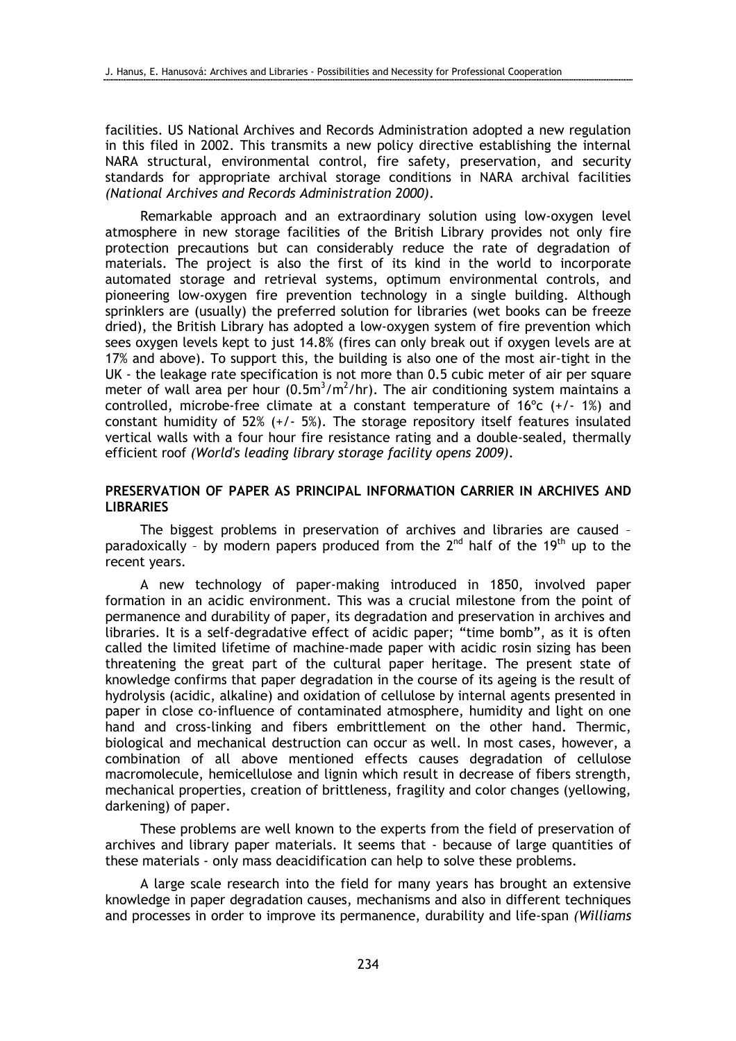facilities. US National Archives and Records Administration adopted a new regulation in this filed in 2002. This transmits a new policy directive establishing the internal NARA structural, environmental control, fire safety, preservation, and security standards for appropriate archival storage conditions in NARA archival facilities (National Archives and Records Administration 2000).

Remarkable approach and an extraordinary solution using low-oxygen level atmosphere in new storage facilities of the British Library provides not only fire protection precautions but can considerably reduce the rate of degradation of materials. The project is also the first of its kind in the world to incorporate automated storage and retrieval systems, optimum environmental controls, and pioneering low-oxygen fire prevention technology in a single building. Although sprinklers are (usually) the preferred solution for libraries (wet books can be freeze dried), the British Library has adopted a low-oxygen system of fire prevention which sees oxygen levels kept to just 14.8% (fires can only break out if oxygen levels are at 17% and above). To support this, the building is also one of the most air-tight in the UK - the leakage rate specification is not more than 0.5 cubic meter of air per square meter of wall area per hour  $(0.5m^3/m^2/hr)$ . The air conditioning system maintains a controlled, microbe-free climate at a constant temperature of  $16^{\circ}$  (+/-  $1\%$ ) and constant humidity of 52% (+/- 5%). The storage repository itself features insulated vertical walls with a four hour fire resistance rating and a double-sealed, thermally efficient roof (World's leading library storage facility opens 2009).

## PRESERVATION OF PAPER AS PRINCIPAL INFORMATION CARRIER IN ARCHIVES AND **LIBRARIES**

The biggest problems in preservation of archives and libraries are caused – paradoxically - by modern papers produced from the 2<sup>nd</sup> half of the 19<sup>th</sup> up to the recent years.

A new technology of paper-making introduced in 1850, involved paper formation in an acidic environment. This was a crucial milestone from the point of permanence and durability of paper, its degradation and preservation in archives and libraries. It is a self-degradative effect of acidic paper; "time bomb", as it is often called the limited lifetime of machine-made paper with acidic rosin sizing has been threatening the great part of the cultural paper heritage. The present state of knowledge confirms that paper degradation in the course of its ageing is the result of hydrolysis (acidic, alkaline) and oxidation of cellulose by internal agents presented in paper in close co-influence of contaminated atmosphere, humidity and light on one hand and cross-linking and fibers embrittlement on the other hand. Thermic, biological and mechanical destruction can occur as well. In most cases, however, a combination of all above mentioned effects causes degradation of cellulose macromolecule, hemicellulose and lignin which result in decrease of fibers strength, mechanical properties, creation of brittleness, fragility and color changes (yellowing, darkening) of paper.

These problems are well known to the experts from the field of preservation of archives and library paper materials. It seems that - because of large quantities of these materials - only mass deacidification can help to solve these problems.

A large scale research into the field for many years has brought an extensive knowledge in paper degradation causes, mechanisms and also in different techniques and processes in order to improve its permanence, durability and life-span (Williams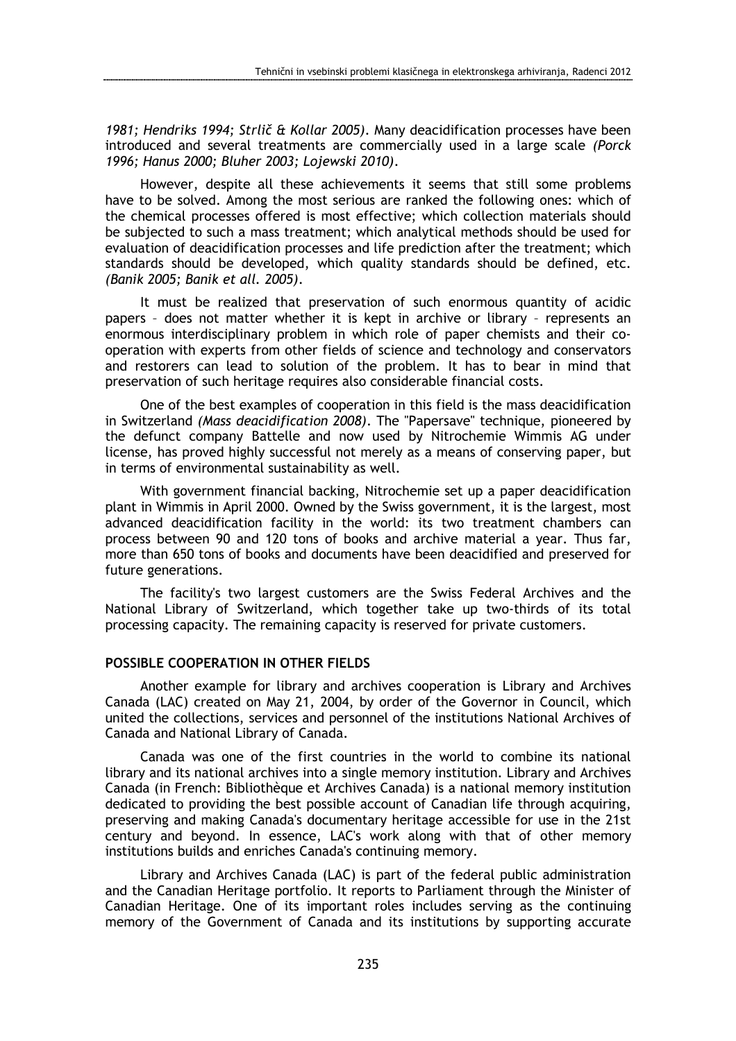1981; Hendriks 1994; Strlič & Kollar 2005). Many deacidification processes have been introduced and several treatments are commercially used in a large scale (Porck 1996; Hanus 2000; Bluher 2003; Lojewski 2010).

However, despite all these achievements it seems that still some problems have to be solved. Among the most serious are ranked the following ones: which of the chemical processes offered is most effective; which collection materials should be subjected to such a mass treatment; which analytical methods should be used for evaluation of deacidification processes and life prediction after the treatment; which standards should be developed, which quality standards should be defined, etc. (Banik 2005; Banik et all. 2005).

It must be realized that preservation of such enormous quantity of acidic papers – does not matter whether it is kept in archive or library – represents an enormous interdisciplinary problem in which role of paper chemists and their cooperation with experts from other fields of science and technology and conservators and restorers can lead to solution of the problem. It has to bear in mind that preservation of such heritage requires also considerable financial costs.

One of the best examples of cooperation in this field is the mass deacidification in Switzerland (Mass deacidification 2008). The "Papersave" technique, pioneered by the defunct company Battelle and now used by Nitrochemie Wimmis AG under license, has proved highly successful not merely as a means of conserving paper, but in terms of environmental sustainability as well.

With government financial backing, Nitrochemie set up a paper deacidification plant in Wimmis in April 2000. Owned by the Swiss government, it is the largest, most advanced deacidification facility in the world: its two treatment chambers can process between 90 and 120 tons of books and archive material a year. Thus far, more than 650 tons of books and documents have been deacidified and preserved for future generations.

The facility's two largest customers are the Swiss Federal Archives and the National Library of Switzerland, which together take up two-thirds of its total processing capacity. The remaining capacity is reserved for private customers.

## POSSIBLE COOPERATION IN OTHER FIELDS

Another example for library and archives cooperation is Library and Archives Canada (LAC) created on May 21, 2004, by order of the Governor in Council, which united the collections, services and personnel of the institutions National Archives of Canada and National Library of Canada.

Canada was one of the first countries in the world to combine its national library and its national archives into a single memory institution. Library and Archives Canada (in French: Bibliothèque et Archives Canada) is a national memory institution dedicated to providing the best possible account of Canadian life through acquiring, preserving and making Canada's documentary heritage accessible for use in the 21st century and beyond. In essence, LAC's work along with that of other memory institutions builds and enriches Canada's continuing memory.

Library and Archives Canada (LAC) is part of the federal public administration and the Canadian Heritage portfolio. It reports to Parliament through the Minister of Canadian Heritage. One of its important roles includes serving as the continuing memory of the Government of Canada and its institutions by supporting accurate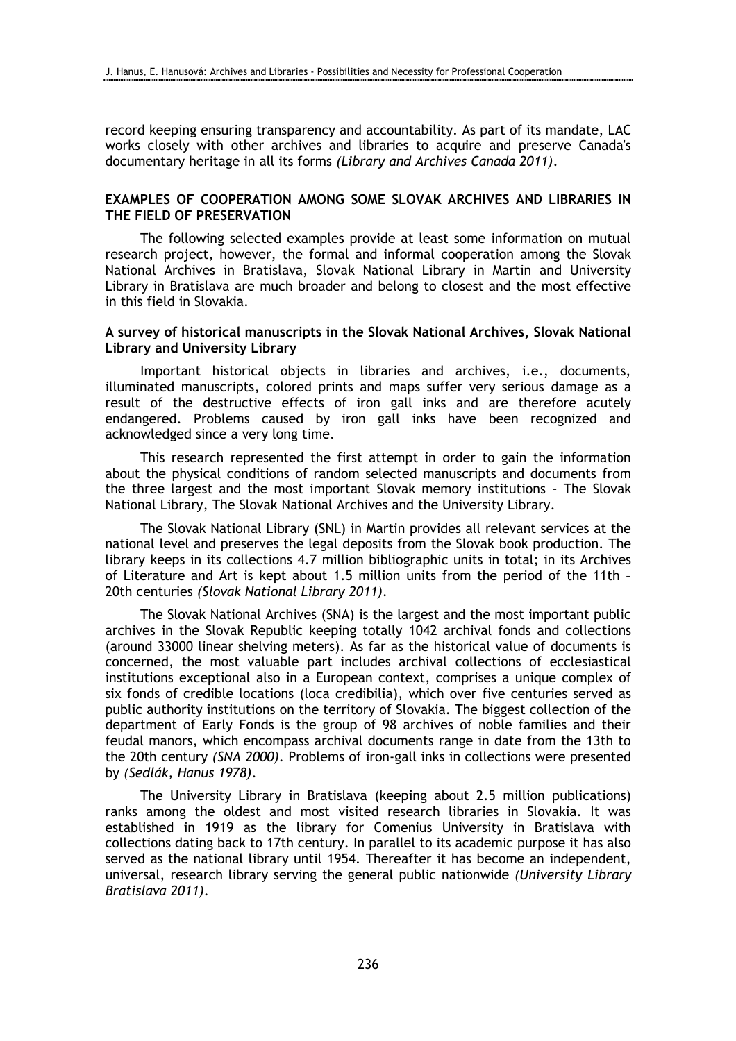record keeping ensuring transparency and accountability. As part of its mandate, LAC works closely with other archives and libraries to acquire and preserve Canada's documentary heritage in all its forms (Library and Archives Canada 2011).

# EXAMPLES OF COOPERATION AMONG SOME SLOVAK ARCHIVES AND LIBRARIES IN THE FIELD OF PRESERVATION

The following selected examples provide at least some information on mutual research project, however, the formal and informal cooperation among the Slovak National Archives in Bratislava, Slovak National Library in Martin and University Library in Bratislava are much broader and belong to closest and the most effective in this field in Slovakia.

## A survey of historical manuscripts in the Slovak National Archives, Slovak National Library and University Library

Important historical objects in libraries and archives, i.e., documents, illuminated manuscripts, colored prints and maps suffer very serious damage as a result of the destructive effects of iron gall inks and are therefore acutely endangered. Problems caused by iron gall inks have been recognized and acknowledged since a very long time.

This research represented the first attempt in order to gain the information about the physical conditions of random selected manuscripts and documents from the three largest and the most important Slovak memory institutions – The Slovak National Library, The Slovak National Archives and the University Library.

The Slovak National Library (SNL) in Martin provides all relevant services at the national level and preserves the legal deposits from the Slovak book production. The library keeps in its collections 4.7 million bibliographic units in total; in its Archives of Literature and Art is kept about 1.5 million units from the period of the 11th – 20th centuries (Slovak National Library 2011).

The Slovak National Archives (SNA) is the largest and the most important public archives in the Slovak Republic keeping totally 1042 archival fonds and collections (around 33000 linear shelving meters). As far as the historical value of documents is concerned, the most valuable part includes archival collections of ecclesiastical institutions exceptional also in a European context, comprises a unique complex of six fonds of credible locations (loca credibilia), which over five centuries served as public authority institutions on the territory of Slovakia. The biggest collection of the department of Early Fonds is the group of 98 archives of noble families and their feudal manors, which encompass archival documents range in date from the 13th to the 20th century (SNA 2000). Problems of iron-gall inks in collections were presented by (Sedlák, Hanus 1978).

The University Library in Bratislava (keeping about 2.5 million publications) ranks among the oldest and most visited research libraries in Slovakia. It was established in 1919 as the library for Comenius University in Bratislava with collections dating back to 17th century. In parallel to its academic purpose it has also served as the national library until 1954. Thereafter it has become an independent, universal, research library serving the general public nationwide (University Library Bratislava 2011).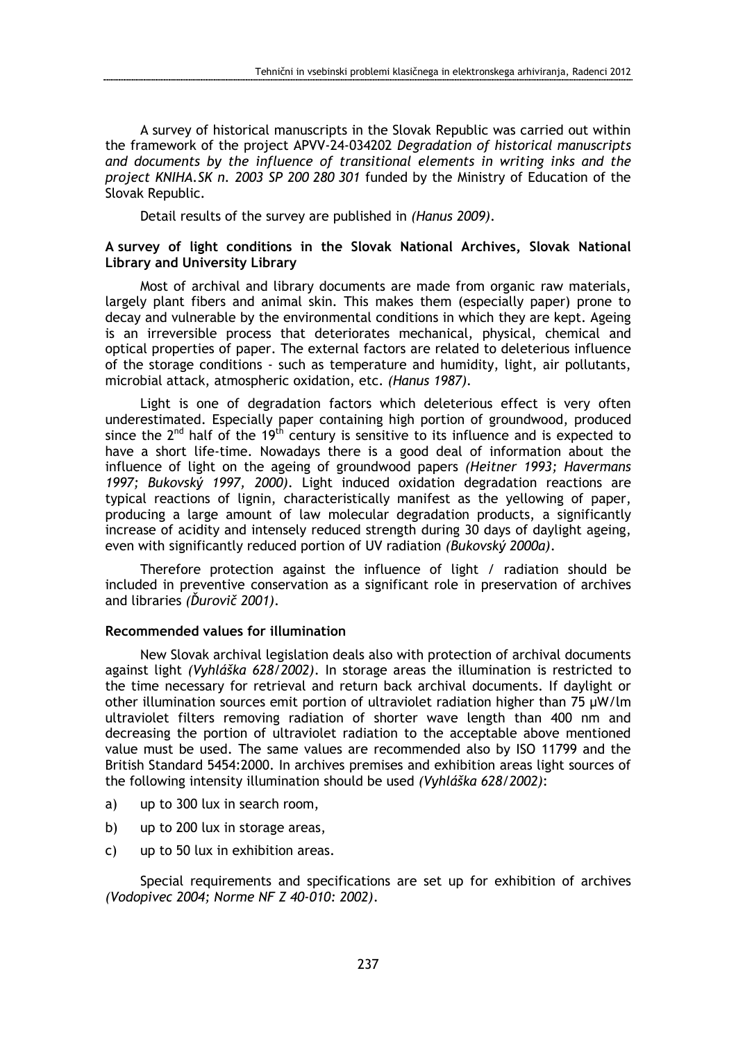A survey of historical manuscripts in the Slovak Republic was carried out within the framework of the project APVV-24-034202 Degradation of historical manuscripts and documents by the influence of transitional elements in writing inks and the project KNIHA.SK n. 2003 SP 200 280 301 funded by the Ministry of Education of the Slovak Republic.

Detail results of the survey are published in (Hanus 2009).

## A survey of light conditions in the Slovak National Archives, Slovak National Library and University Library

Most of archival and library documents are made from organic raw materials, largely plant fibers and animal skin. This makes them (especially paper) prone to decay and vulnerable by the environmental conditions in which they are kept. Ageing is an irreversible process that deteriorates mechanical, physical, chemical and optical properties of paper. The external factors are related to deleterious influence of the storage conditions - such as temperature and humidity, light, air pollutants, microbial attack, atmospheric oxidation, etc. (Hanus 1987).

Light is one of degradation factors which deleterious effect is very often underestimated. Especially paper containing high portion of groundwood, produced since the  $2^{nd}$  half of the 19<sup>th</sup> century is sensitive to its influence and is expected to have a short life-time. Nowadays there is a good deal of information about the influence of light on the ageing of groundwood papers (Heitner 1993; Havermans 1997; Bukovský 1997, 2000). Light induced oxidation degradation reactions are typical reactions of lignin, characteristically manifest as the yellowing of paper, producing a large amount of law molecular degradation products, a significantly increase of acidity and intensely reduced strength during 30 days of daylight ageing, even with significantly reduced portion of UV radiation (Bukovský 2000a).

Therefore protection against the influence of light / radiation should be included in preventive conservation as a significant role in preservation of archives and libraries (Ďurovič 2001).

### Recommended values for illumination

New Slovak archival legislation deals also with protection of archival documents against light (Vyhláška 628/2002). In storage areas the illumination is restricted to the time necessary for retrieval and return back archival documents. If daylight or other illumination sources emit portion of ultraviolet radiation higher than 75 µW/lm ultraviolet filters removing radiation of shorter wave length than 400 nm and decreasing the portion of ultraviolet radiation to the acceptable above mentioned value must be used. The same values are recommended also by ISO 11799 and the British Standard 5454:2000. In archives premises and exhibition areas light sources of the following intensity illumination should be used (Vyhláška 628/2002):

- a) up to 300 lux in search room,
- b) up to 200 lux in storage areas,
- c) up to 50 lux in exhibition areas.

Special requirements and specifications are set up for exhibition of archives (Vodopivec 2004; Norme NF Z 40-010: 2002).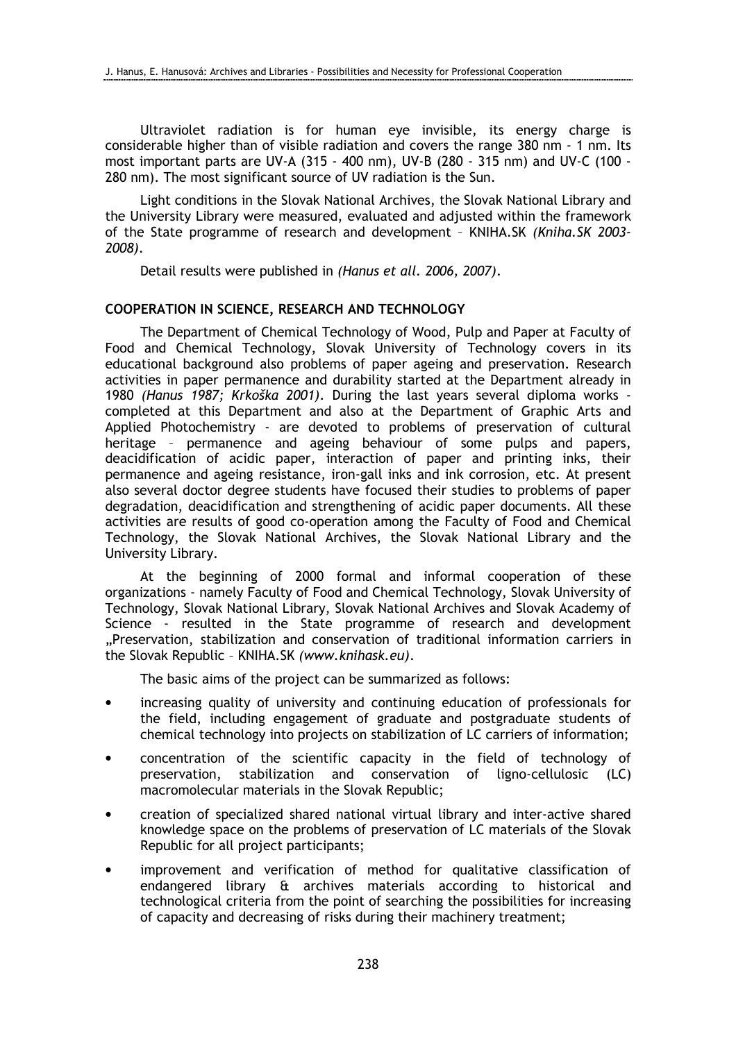Ultraviolet radiation is for human eye invisible, its energy charge is considerable higher than of visible radiation and covers the range 380 nm - 1 nm. Its most important parts are UV-A (315 - 400 nm), UV-B (280 - 315 nm) and UV-C (100 - 280 nm). The most significant source of UV radiation is the Sun.

Light conditions in the Slovak National Archives, the Slovak National Library and the University Library were measured, evaluated and adjusted within the framework of the State programme of research and development – KNIHA.SK (Kniha.SK 2003- 2008).

Detail results were published in (Hanus et all. 2006, 2007).

# COOPERATION IN SCIENCE, RESEARCH AND TECHNOLOGY

The Department of Chemical Technology of Wood, Pulp and Paper at Faculty of Food and Chemical Technology, Slovak University of Technology covers in its educational background also problems of paper ageing and preservation. Research activities in paper permanence and durability started at the Department already in 1980 (Hanus 1987; Krkoška 2001). During the last years several diploma works completed at this Department and also at the Department of Graphic Arts and Applied Photochemistry - are devoted to problems of preservation of cultural heritage – permanence and ageing behaviour of some pulps and papers, deacidification of acidic paper, interaction of paper and printing inks, their permanence and ageing resistance, iron-gall inks and ink corrosion, etc. At present also several doctor degree students have focused their studies to problems of paper degradation, deacidification and strengthening of acidic paper documents. All these activities are results of good co-operation among the Faculty of Food and Chemical Technology, the Slovak National Archives, the Slovak National Library and the University Library.

At the beginning of 2000 formal and informal cooperation of these organizations - namely Faculty of Food and Chemical Technology, Slovak University of Technology, Slovak National Library, Slovak National Archives and Slovak Academy of Science - resulted in the State programme of research and development "Preservation, stabilization and conservation of traditional information carriers in the Slovak Republic – KNIHA.SK (www.knihask.eu).

The basic aims of the project can be summarized as follows:

- increasing quality of university and continuing education of professionals for the field, including engagement of graduate and postgraduate students of chemical technology into projects on stabilization of LC carriers of information;
- concentration of the scientific capacity in the field of technology of preservation, stabilization and conservation of ligno-cellulosic (LC) macromolecular materials in the Slovak Republic;
- creation of specialized shared national virtual library and inter-active shared knowledge space on the problems of preservation of LC materials of the Slovak Republic for all project participants;
- improvement and verification of method for qualitative classification of endangered library & archives materials according to historical and technological criteria from the point of searching the possibilities for increasing of capacity and decreasing of risks during their machinery treatment;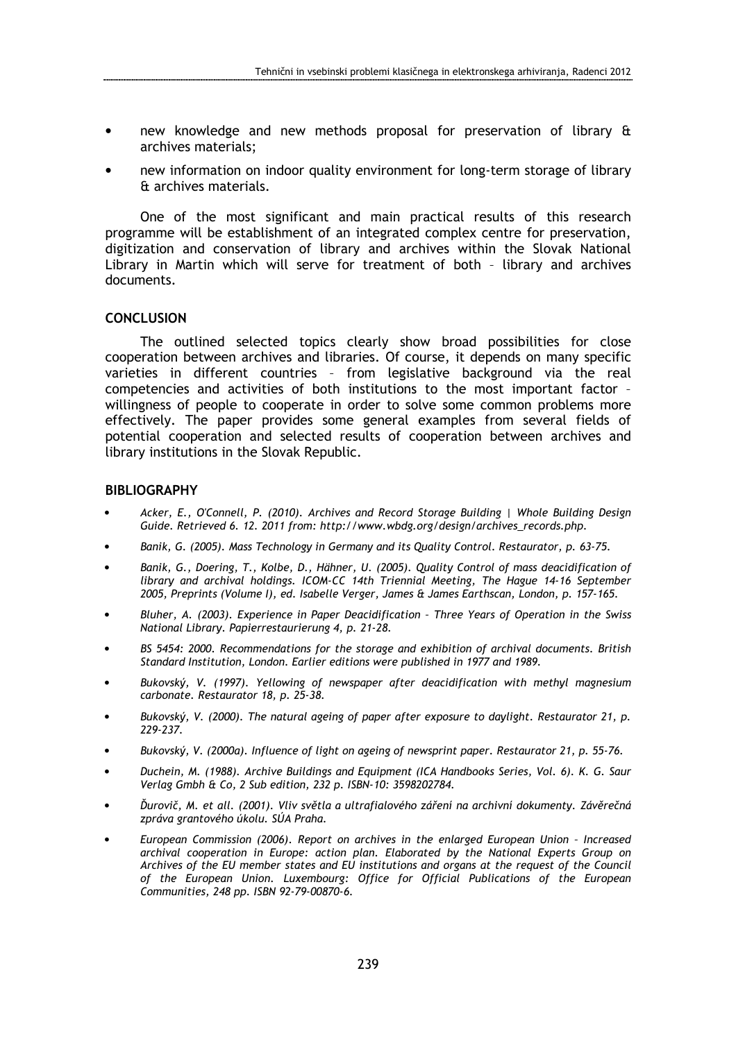- new knowledge and new methods proposal for preservation of library & archives materials;
- new information on indoor quality environment for long-term storage of library & archives materials.

One of the most significant and main practical results of this research programme will be establishment of an integrated complex centre for preservation, digitization and conservation of library and archives within the Slovak National Library in Martin which will serve for treatment of both – library and archives documents.

### **CONCLUSION**

The outlined selected topics clearly show broad possibilities for close cooperation between archives and libraries. Of course, it depends on many specific varieties in different countries – from legislative background via the real competencies and activities of both institutions to the most important factor – willingness of people to cooperate in order to solve some common problems more effectively. The paper provides some general examples from several fields of potential cooperation and selected results of cooperation between archives and library institutions in the Slovak Republic.

### **BIBLIOGRAPHY**

- Acker, E., O'Connell, P. (2010). Archives and Record Storage Building | Whole Building Design Guide. Retrieved 6. 12. 2011 from: http://www.wbdg.org/design/archives\_records.php.
- Banik, G. (2005). Mass Technology in Germany and its Quality Control. Restaurator, p. 63-75.
- Banik, G., Doering, T., Kolbe, D., Hähner, U. (2005). Quality Control of mass deacidification of library and archival holdings. ICOM-CC 14th Triennial Meeting, The Hague 14-16 September 2005, Preprints (Volume I), ed. Isabelle Verger, James & James Earthscan, London, p. 157-165.
- Bluher, A. (2003). Experience in Paper Deacidification Three Years of Operation in the Swiss National Library. Papierrestaurierung 4, p. 21-28.
- BS 5454: 2000. Recommendations for the storage and exhibition of archival documents. British Standard Institution, London. Earlier editions were published in 1977 and 1989.
- Bukovský, V. (1997). Yellowing of newspaper after deacidification with methyl magnesium carbonate. Restaurator 18, p. 25-38.
- Bukovský, V. (2000). The natural ageing of paper after exposure to daylight. Restaurator 21, p. 229-237.
- Bukovský, V. (2000a). Influence of light on ageing of newsprint paper. Restaurator 21, p. 55-76.
- Duchein, M. (1988). Archive Buildings and Equipment (ICA Handbooks Series, Vol. 6). K. G. Saur Verlag Gmbh & Co, 2 Sub edition, 232 p. ISBN-10: 3598202784.
- Ďurovič, M. et all. (2001). Vliv světla a ultrafialového záření na archivní dokumenty. Závěrečná zpráva grantového úkolu. SÚA Praha.
- European Commission (2006). Report on archives in the enlarged European Union Increased archival cooperation in Europe: action plan. Elaborated by the National Experts Group on Archives of the EU member states and EU institutions and organs at the request of the Council of the European Union. Luxembourg: Office for Official Publications of the European Communities, 248 pp. ISBN 92-79-00870-6.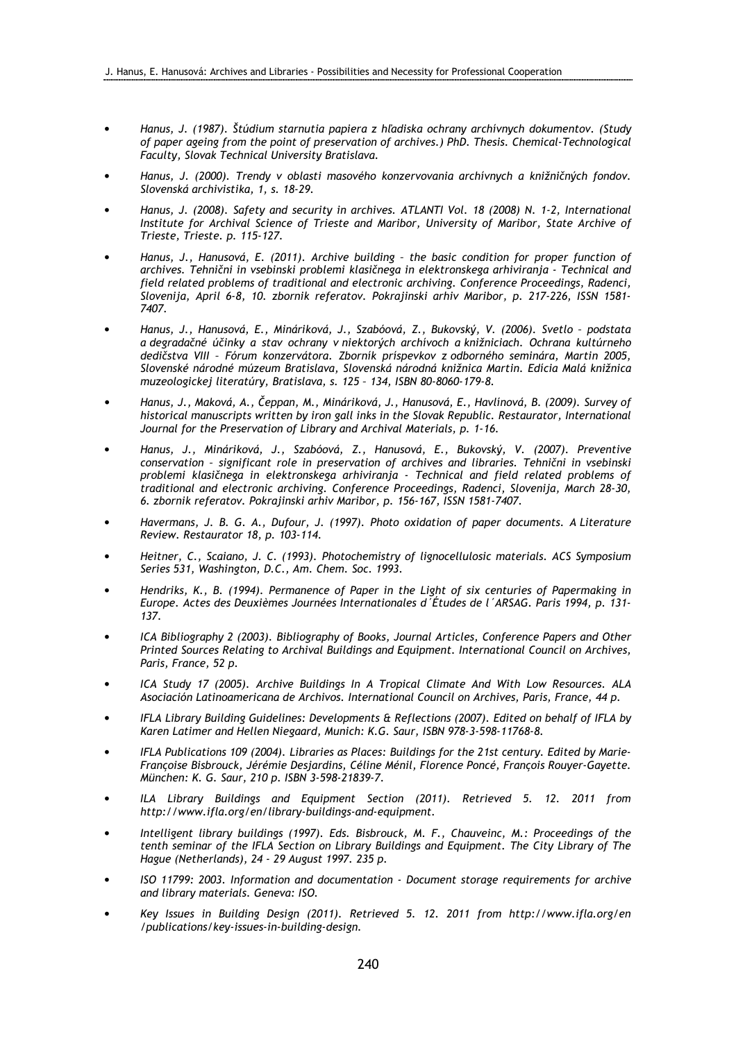- Hanus, J. (1987). Štúdium starnutia papiera z hľadiska ochrany archívnych dokumentov. (Study of paper ageing from the point of preservation of archives.) PhD. Thesis. Chemical-Technological Faculty, Slovak Technical University Bratislava.
- Hanus, J. (2000). Trendy v oblasti masového konzervovania archívnych a knižničných fondov. Slovenská archivistika, 1, s. 18-29.
- Hanus, J. (2008). Safety and security in archives. ATLANTI Vol. 18 (2008) N. 1-2, International Institute for Archival Science of Trieste and Maribor, University of Maribor, State Archive of Trieste, Trieste. p. 115-127.
- Hanus, J., Hanusová, E. (2011). Archive building the basic condition for proper function of archives. Tehnični in vsebinski problemi klasičnega in elektronskega arhiviranja - Technical and field related problems of traditional and electronic archiving. Conference Proceedings, Radenci, Slovenija, April 6-8, 10. zbornik referatov. Pokrajinski arhiv Maribor, p. 217-226, ISSN 1581- 7407.
- Hanus, J., Hanusová, E., Mináriková, J., Szabóová, Z., Bukovský, V. (2006). Svetlo podstata a degradačné účinky a stav ochrany v niektorých archívoch a knižniciach. Ochrana kultúrneho dedičstva VIII – Fórum konzervátora. Zborník príspevkov z odborného seminára, Martin 2005, Slovenské národné múzeum Bratislava, Slovenská národná knižnica Martin. Edícia Malá knižnica muzeologickej literatúry, Bratislava, s. 125 – 134, ISBN 80-8060-179-8.
- Hanus, J., Maková, A., Čeppan, M., Mináriková, J., Hanusová, E., Havlínová, B. (2009). Survey of historical manuscripts written by iron gall inks in the Slovak Republic. Restaurator, International Journal for the Preservation of Library and Archival Materials, p. 1-16.
- Hanus, J., Mináriková, J., Szabóová, Z., Hanusová, E., Bukovský, V. (2007). Preventive conservation – significant role in preservation of archives and libraries. Tehnični in vsebinski problemi klasičnega in elektronskega arhiviranja - Technical and field related problems of traditional and electronic archiving. Conference Proceedings, Radenci, Slovenija, March 28-30, 6. zbornik referatov. Pokrajinski arhiv Maribor, p. 156-167, ISSN 1581-7407.
- Havermans, J. B. G. A., Dufour, J. (1997). Photo oxidation of paper documents. A Literature Review. Restaurator 18, p. 103-114.
- Heitner, C., Scaiano, J. C. (1993). Photochemistry of lignocellulosic materials. ACS Symposium Series 531, Washington, D.C., Am. Chem. Soc. 1993.
- Hendriks, K., B. (1994). Permanence of Paper in the Light of six centuries of Papermaking in Europe. Actes des Deuxièmes Journées Internationales d´Études de l´ARSAG. Paris 1994, p. 131- 137.
- ICA Bibliography 2 (2003). Bibliography of Books, Journal Articles, Conference Papers and Other Printed Sources Relating to Archival Buildings and Equipment. International Council on Archives, Paris, France, 52 p.
- ICA Study 17 (2005). Archive Buildings In A Tropical Climate And With Low Resources. ALA Asociación Latinoamericana de Archivos. International Council on Archives, Paris, France, 44 p.
- IFLA Library Building Guidelines: Developments & Reflections (2007). Edited on behalf of IFLA by Karen Latimer and Hellen Niegaard, Munich: K.G. Saur, ISBN 978-3-598-11768-8.
- IFLA Publications 109 (2004). Libraries as Places: Buildings for the 21st century. Edited by Marie-Françoise Bisbrouck, Jérémie Desjardins, Céline Ménil, Florence Poncé, François Rouyer-Gayette. München: K. G. Saur, 210 p. ISBN 3-598-21839-7.
- ILA Library Buildings and Equipment Section (2011). Retrieved 5. 12. 2011 from http://www.ifla.org/en/library-buildings-and-equipment.
- Intelligent library buildings (1997). Eds. Bisbrouck, M. F., Chauveinc, M.: Proceedings of the tenth seminar of the IFLA Section on Library Buildings and Equipment. The City Library of The Hague (Netherlands), 24 - 29 August 1997. 235 p.
- ISO 11799: 2003. Information and documentation Document storage requirements for archive and library materials. Geneva: ISO.
- Key Issues in Building Design (2011). Retrieved 5. 12. 2011 from http://www.ifla.org/en /publications/key-issues-in-building-design.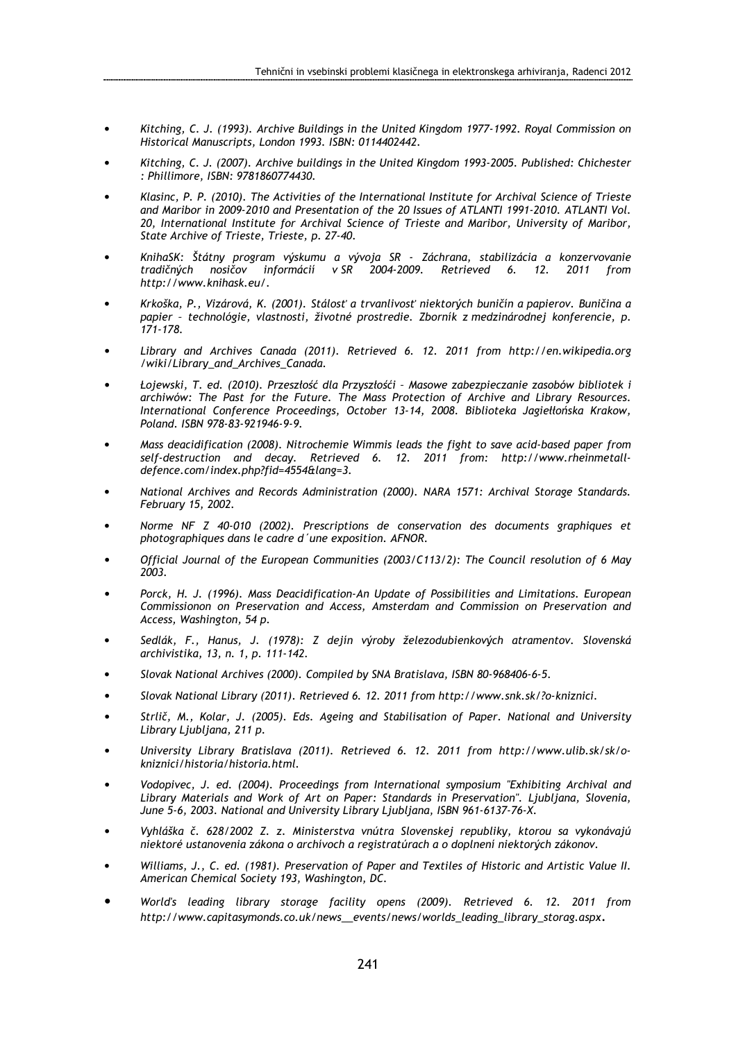- Kitching, C. J. (1993). Archive Buildings in the United Kingdom 1977-1992. Royal Commission on Historical Manuscripts, London 1993. ISBN: 0114402442.
- Kitching, C. J. (2007). Archive buildings in the United Kingdom 1993-2005. Published: Chichester : Phillimore, ISBN: 9781860774430.
- Klasinc, P. P. (2010). The Activities of the International Institute for Archival Science of Trieste and Maribor in 2009-2010 and Presentation of the 20 Issues of ATLANTI 1991-2010. ATLANTI Vol. 20, International Institute for Archival Science of Trieste and Maribor, University of Maribor, State Archive of Trieste, Trieste, p. 27-40.
- KnihaSK: Štátny program výskumu a vývoja SR Záchrana, stabilizácia a konzervovanie tradičných nosičov informácií v SR 2004-2009. Retrieved 6. 12. 2011 from http://www.knihask.eu/.
- Krkoška, P., Vizárová, K. (2001). Stálosť a trvanlivosť niektorých buničín a papierov. Buničina a papier – technológie, vlastnosti, životné prostredie. Zborník z medzinárodnej konferencie, p. 171-178.
- Library and Archives Canada (2011). Retrieved 6. 12. 2011 from http://en.wikipedia.org /wiki/Library\_and\_Archives\_Canada.
- Łojewski, T. ed. (2010). Przeszłość dla Przyszłośći Masowe zabezpieczanie zasobów bibliotek i archiwów: The Past for the Future. The Mass Protection of Archive and Library Resources. International Conference Proceedings, October 13-14, 2008. Biblioteka Jagiełłońska Krakow, Poland. ISBN 978-83-921946-9-9.
- Mass deacidification (2008). Nitrochemie Wimmis leads the fight to save acid-based paper from self-destruction and decay. Retrieved 6. 12. 2011 from: http://www.rheinmetalldefence.com/index.php?fid=4554&lang=3.
- National Archives and Records Administration (2000). NARA 1571: Archival Storage Standards. February 15, 2002.
- Norme NF Z 40-010 (2002). Prescriptions de conservation des documents graphiques et photographiques dans le cadre d´une exposition. AFNOR.
- Official Journal of the European Communities (2003/C113/2): The Council resolution of 6 May 2003.
- Porck, H. J. (1996). Mass Deacidification-An Update of Possibilities and Limitations. European Commissionon on Preservation and Access, Amsterdam and Commission on Preservation and Access, Washington, 54 p.
- Sedlák, F., Hanus, J. (1978): Z dejín výroby železodubienkových atramentov. Slovenská archivistika, 13, n. 1, p. 111-142.
- Slovak National Archives (2000). Compiled by SNA Bratislava, ISBN 80-968406-6-5.
- Slovak National Library (2011). Retrieved 6. 12. 2011 from http://www.snk.sk/?o-kniznici.
- Strlič, M., Kolar, J. (2005). Eds. Ageing and Stabilisation of Paper. National and University Library Ljubljana, 211 p.
- University Library Bratislava (2011). Retrieved 6. 12. 2011 from http://www.ulib.sk/sk/okniznici/historia/historia.html.
- Vodopivec, J. ed. (2004). Proceedings from International symposium "Exhibiting Archival and Library Materials and Work of Art on Paper: Standards in Preservation". Ljubljana, Slovenia, June 5-6, 2003. National and University Library Ljubljana, ISBN 961-6137-76-X.
- Vyhláška č. 628/2002 Z. z. Ministerstva vnútra Slovenskej republiky, ktorou sa vykonávajú niektoré ustanovenia zákona o archívoch a registratúrach a o doplnení niektorých zákonov.
- Williams, J., C. ed. (1981). Preservation of Paper and Textiles of Historic and Artistic Value II. American Chemical Society 193, Washington, DC.
- World's leading library storage facility opens (2009). Retrieved 6. 12. 2011 from http://www.capitasymonds.co.uk/news\_events/news/worlds\_leading\_library\_storag.aspx.